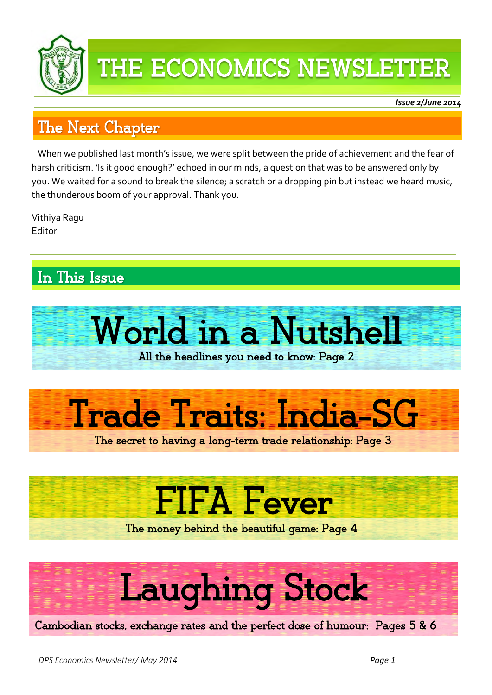

### THE ECONOMICS NEWSLETTER

*Issue 2/June 2014* 

ļ

### The Next Chapter

 harsh criticism. 'Is it good enough?' echoed in our minds, a question that was to be answered only by When we published last month's issue, we were split between the pride of achievement and the fear of you. We waited for a sound to break the silence; a scratch or a dropping pin but instead we heard music, the thunderous boom of your approval. Thank you.

Vithiya Ragu Editor

### In This Issue





The secret to having a long-term trade relationship: Page 3

## FIFA Fever

The money behind the beautiful game: Page 4

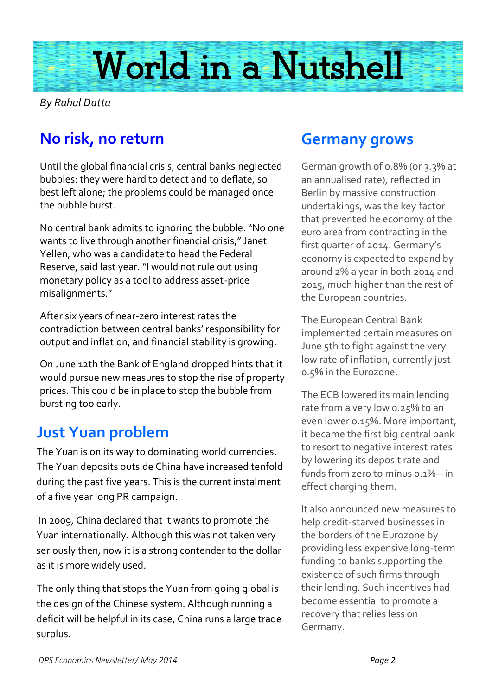

*By Rahul Datta*

### **No risk, no return**

Until the global financial crisis, central banks neglected bubbles: they were hard to detect and to deflate, so best left alone; the problems could be managed once the bubble burst.

No central bank admits to ignoring the bubble. "No one wants to live through another financial crisis," Janet Yellen, who was a candidate to head the Federal Reserve, said last year. "I would not rule out using monetary policy as a tool to address asset-price misalignments."

After six years of near-zero interest rates the contradiction between central banks' responsibility for output and inflation, and financial stability is growing.

On June 12th the Bank of England dropped hints that it would pursue new measures to stop the rise of property prices. This could be in place to stop the bubble from bursting too early.

### **Just Yuan problem**

The Yuan is on its way to dominating world currencies. The Yuan deposits outside China have increased tenfold during the past five years. This is the current instalment of a five year long PR campaign.

In 2009, China declared that it wants to promote the Yuan internationally. Although this was not taken very seriously then, now it is a strong contender to the dollar as it is more widely used.

The only thing that stops the Yuan from going global is the design of the Chinese system. Although running a deficit will be helpful in its case, China runs a large trade surplus.

#### **Germany grows**

German growth of 0.8% (or 3.3% at an annualised rate), reflected in Berlin by massive construction undertakings, was the key factor that prevented he economy of the euro area from contracting in the first quarter of 2014. Germany's economy is expected to expand by around 2% a year in both 2014 and 2015, much higher than the rest of the European countries.

The European Central Bank implemented certain measures on June 5th to fight against the very low rate of inflation, currently just 0.5% in the Eurozone.

The ECB lowered its main lending rate from a very low 0.25% to an even lower 0.15%. More important, it became the first big central bank to resort to negative interest rates by lowering its deposit rate and funds from zero to minus 0.1%—in effect charging them.

It also announced new measures to help credit-starved businesses in the borders of the Eurozone by providing less expensive long-term funding to banks supporting the existence of such firms through their lending. Such incentives had become essential to promote a recovery that relies less on Germany.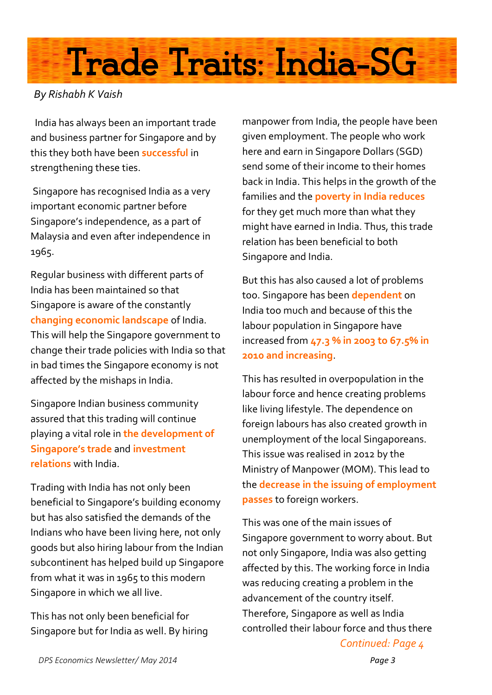# Trade Traits: India-SG

#### *By Rishabh K Vaish*

 India has always been an important trade and business partner for Singapore and by this they both have been **successful** in strengthening these ties.

Singapore has recognised India as a very important economic partner before Singapore's independence, as a part of Malaysia and even after independence in 1965.

Regular business with different parts of India has been maintained so that Singapore is aware of the constantly **changing economic landscape** of India. This will help the Singapore government to change their trade policies with India so that in bad times the Singapore economy is not affected by the mishaps in India.

Singapore Indian business community assured that this trading will continue playing a vital role in **the development of Singapore's trade** and **investment relations** with India.

Trading with India has not only been beneficial to Singapore's building economy but has also satisfied the demands of the Indians who have been living here, not only goods but also hiring labour from the Indian subcontinent has helped build up Singapore from what it was in 1965 to this modern Singapore in which we all live.

This has not only been beneficial for Singapore but for India as well. By hiring

manpower from India, the people have been given employment. The people who work here and earn in Singapore Dollars (SGD) send some of their income to their homes back in India. This helps in the growth of the families and the **poverty in India reduces** for they get much more than what they might have earned in India. Thus, this trade relation has been beneficial to both Singapore and India.

But this has also caused a lot of problems too. Singapore has been **dependent** on India too much and because of this the labour population in Singapore have increased from **47.3 % in 2003 to 67.5% in 2010 and increasing**.

This has resulted in overpopulation in the labour force and hence creating problems like living lifestyle. The dependence on foreign labours has also created growth in unemployment of the local Singaporeans. This issue was realised in 2012 by the Ministry of Manpower (MOM). This lead to the **decrease in the issuing of employment passes** to foreign workers.

This was one of the main issues of Singapore government to worry about. But not only Singapore, India was also getting affected by this. The working force in India was reducing creating a problem in the advancement of the country itself. Therefore, Singapore as well as India controlled their labour force and thus there *Continued: Page 4*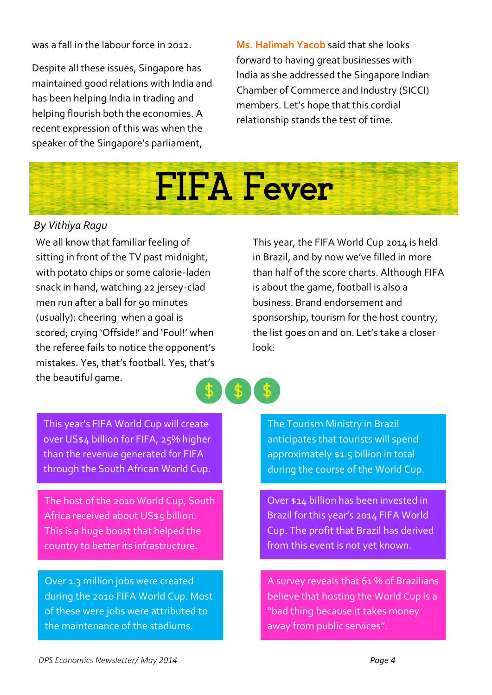was a fall in the labour force in 2012.

Despite all these issues, Singapore has maintained good relations with India and has been helping India in trading and helping flourish both the economies. A recent expression of this was when the speaker of the Singapore's parliament,

**Ms. Halimah Yacob** said that she looks forward to having great businesses with India as she addressed the Singapore Indian Chamber of Commerce and Industry (SICCI) members. Let's hope that this cordial relationship stands the test of time.



#### *By Vithiya Ragu*

We all know that familiar feeling of sitting in front of the TV past midnight, with potato chips or some calorie-laden snack in hand, watching 22 jersey-clad men run after a ball for 90 minutes (usually): cheering when a goal is scored; crying 'Offside!' and 'Foul!' when the referee fails to notice the opponent's mistakes. Yes, that's football. Yes, that's the beautiful game.

This year, the FIFA World Cup 2014 is held in Brazil, and by now we've filled in more than half of the score charts. Although FIFA is about the game, football is also a business. Brand endorsement and sponsorship, tourism for the host country, the list goes on and on. Let's take a closer look:

This year's FIFA World Cup will create over US\$4 billion for FIFA, 25% higher than the revenue generated for FIFA through the South African World Cup.

The host of the 2010 World Cup, South Africa received about US\$5 billion. This is a huge boost that helped the country to better its infrastructure.

Over 1.3 million jobs were created during the 2010 FIFA World Cup. Most of these were jobs were attributed to the maintenance of the stadiums.

The Tourism Ministry in Brazil anticipates that tourists will spend approximately \$1.5 billion in total during the course of the World Cup.

Over \$14 billion has been invested in Brazil for this year's 2014 FIFA World Cup. The profit that Brazil has derived from this event is not yet known.

A survey reveals that 61 % of Brazilians believe that hosting the World Cup is a "bad thing because it takes money away from public services".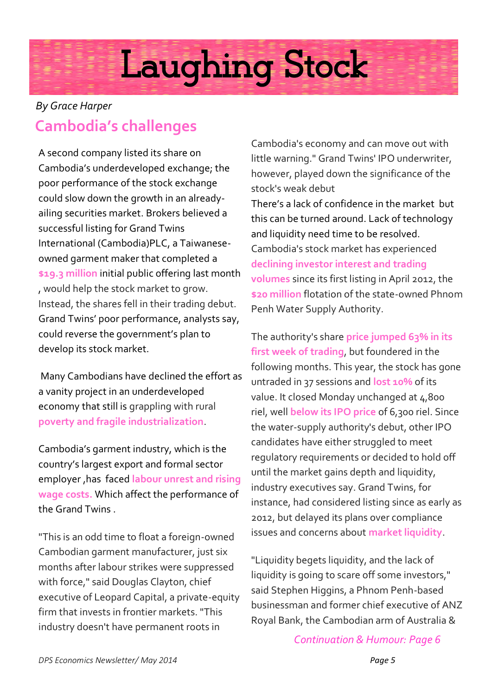## Laughing Stock

### **Cambodia's challenges** *By Grace Harper*

A second company listed its share on Cambodia's underdeveloped exchange; the poor performance of the stock exchange could slow down the growth in an alreadyailing securities market. Brokers believed a successful listing for Grand Twins International (Cambodia)PLC, a Taiwaneseowned garment maker that completed a **\$19.3 million** initial public offering last month , would help the stock market to grow. Instead, the shares fell in their trading debut. Grand Twins' poor performance, analysts say, could reverse the government's plan to develop its stock market.

Many Cambodians have declined the effort as a vanity project in an underdeveloped economy that still is grappling with rural **poverty and fragile industrialization**.

Cambodia's garment industry, which is the country's largest export and formal sector employer ,has faced **labour unrest and rising wage costs.** Which affect the performance of the Grand Twins .

"This is an odd time to float a foreign-owned Cambodian garment manufacturer, just six months after labour strikes were suppressed with force," said Douglas Clayton, chief executive of Leopard Capital, a private-equity firm that invests in frontier markets. "This industry doesn't have permanent roots in

Cambodia's economy and can move out with little warning." Grand Twins' IPO underwriter, however, played down the significance of the stock's weak debut

There's a lack of confidence in the market but this can be turned around. Lack of technology and liquidity need time to be resolved. Cambodia's stock market has experienced **declining investor interest and trading volumes** since its first listing in April 2012, the **\$20 million** flotation of the state-owned Phnom Penh Water Supply Authority.

The authority's share **price jumped 63% in its first week of trading**, but foundered in the following months. This year, the stock has gone untraded in 37 sessions and **lost 10%** of its value. It closed Monday unchanged at 4,800 riel, well **below its IPO price** of 6,300 riel. Since the water-supply authority's debut, other IPO candidates have either struggled to meet regulatory requirements or decided to hold off until the market gains depth and liquidity, industry executives say. Grand Twins, for instance, had considered listing since as early as 2012, but delayed its plans over compliance issues and concerns about **market liquidity**.

"Liquidity begets liquidity, and the lack of liquidity is going to scare off some investors," said Stephen Higgins, a Phnom Penh-based businessman and former chief executive of ANZ Royal Bank, the Cambodian arm of Australia &

*Continuation & Humour: Page 6*